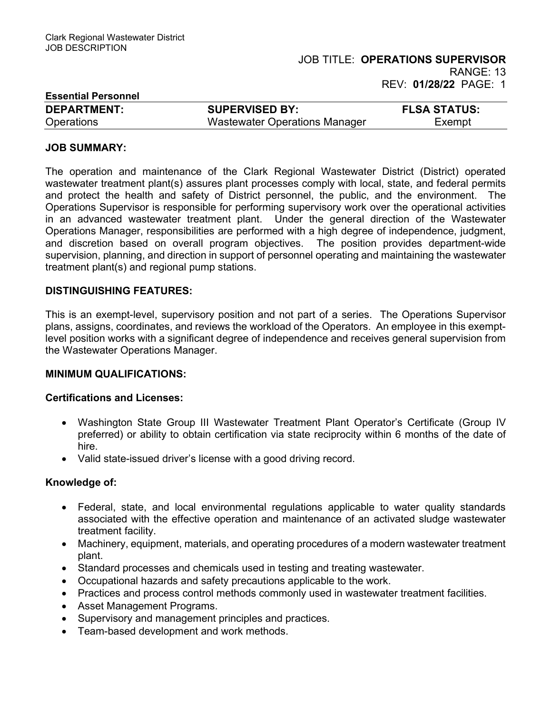| <b>Essential Personnel</b> |                               |                     |
|----------------------------|-------------------------------|---------------------|
| <b>DEPARTMENT:</b>         | <b>SUPERVISED BY:</b>         | <b>FLSA STATUS:</b> |
| <b>Operations</b>          | Wastewater Operations Manager | Exempt              |

### JOB SUMMARY:

The operation and maintenance of the Clark Regional Wastewater District (District) operated wastewater treatment plant(s) assures plant processes comply with local, state, and federal permits and protect the health and safety of District personnel, the public, and the environment. The Operations Supervisor is responsible for performing supervisory work over the operational activities in an advanced wastewater treatment plant. Under the general direction of the Wastewater Operations Manager, responsibilities are performed with a high degree of independence, judgment, and discretion based on overall program objectives. The position provides department-wide supervision, planning, and direction in support of personnel operating and maintaining the wastewater treatment plant(s) and regional pump stations.

### DISTINGUISHING FEATURES:

This is an exempt-level, supervisory position and not part of a series. The Operations Supervisor plans, assigns, coordinates, and reviews the workload of the Operators. An employee in this exemptlevel position works with a significant degree of independence and receives general supervision from the Wastewater Operations Manager.

### MINIMUM QUALIFICATIONS:

### Certifications and Licenses:

- Washington State Group III Wastewater Treatment Plant Operator's Certificate (Group IV preferred) or ability to obtain certification via state reciprocity within 6 months of the date of hire.
- Valid state-issued driver's license with a good driving record.

### Knowledge of:

- Federal, state, and local environmental regulations applicable to water quality standards associated with the effective operation and maintenance of an activated sludge wastewater treatment facility.
- Machinery, equipment, materials, and operating procedures of a modern wastewater treatment plant.
- Standard processes and chemicals used in testing and treating wastewater.
- Occupational hazards and safety precautions applicable to the work.
- Practices and process control methods commonly used in wastewater treatment facilities.
- Asset Management Programs.
- Supervisory and management principles and practices.
- Team-based development and work methods.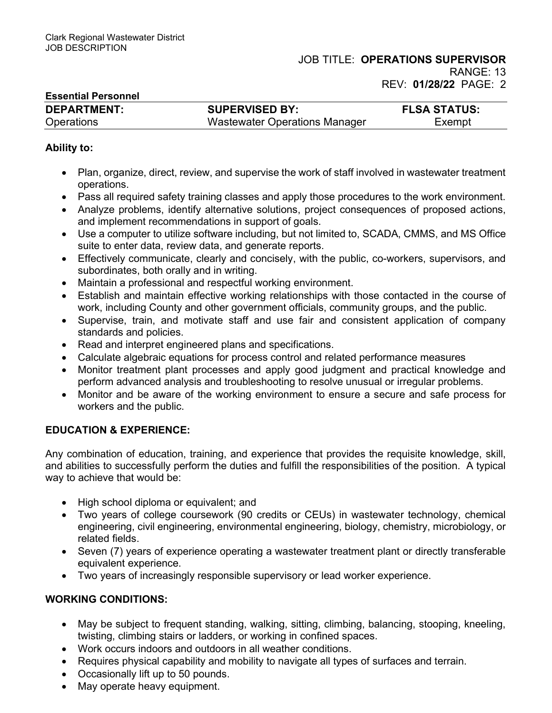| <b>Essential Personnel</b> |                               |                     |
|----------------------------|-------------------------------|---------------------|
| <b>DEPARTMENT:</b>         | <b>SUPERVISED BY:</b>         | <b>FLSA STATUS:</b> |
| <b>Operations</b>          | Wastewater Operations Manager | Exempt              |

## Ability to:

- Plan, organize, direct, review, and supervise the work of staff involved in wastewater treatment operations.
- Pass all required safety training classes and apply those procedures to the work environment.
- Analyze problems, identify alternative solutions, project consequences of proposed actions, and implement recommendations in support of goals.
- Use a computer to utilize software including, but not limited to, SCADA, CMMS, and MS Office suite to enter data, review data, and generate reports.
- Effectively communicate, clearly and concisely, with the public, co-workers, supervisors, and subordinates, both orally and in writing.
- Maintain a professional and respectful working environment.
- Establish and maintain effective working relationships with those contacted in the course of work, including County and other government officials, community groups, and the public.
- Supervise, train, and motivate staff and use fair and consistent application of company standards and policies.
- Read and interpret engineered plans and specifications.
- Calculate algebraic equations for process control and related performance measures
- Monitor treatment plant processes and apply good judgment and practical knowledge and perform advanced analysis and troubleshooting to resolve unusual or irregular problems.
- Monitor and be aware of the working environment to ensure a secure and safe process for workers and the public.

# EDUCATION & EXPERIENCE:

Any combination of education, training, and experience that provides the requisite knowledge, skill, and abilities to successfully perform the duties and fulfill the responsibilities of the position. A typical way to achieve that would be:

- High school diploma or equivalent; and
- Two years of college coursework (90 credits or CEUs) in wastewater technology, chemical engineering, civil engineering, environmental engineering, biology, chemistry, microbiology, or related fields.
- Seven (7) years of experience operating a wastewater treatment plant or directly transferable equivalent experience.
- Two years of increasingly responsible supervisory or lead worker experience.

# WORKING CONDITIONS:

- May be subject to frequent standing, walking, sitting, climbing, balancing, stooping, kneeling, twisting, climbing stairs or ladders, or working in confined spaces.
- Work occurs indoors and outdoors in all weather conditions.
- Requires physical capability and mobility to navigate all types of surfaces and terrain.
- Occasionally lift up to 50 pounds.
- May operate heavy equipment.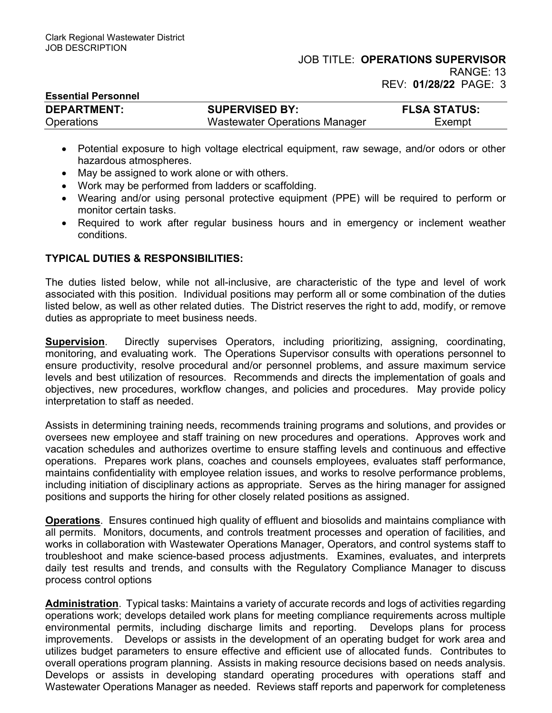| <b>Essential Personnel</b> |                                      |                     |
|----------------------------|--------------------------------------|---------------------|
| <b>DEPARTMENT:</b>         | <b>SUPERVISED BY:</b>                | <b>FLSA STATUS:</b> |
| <b>Operations</b>          | <b>Wastewater Operations Manager</b> | Exempt              |

- Potential exposure to high voltage electrical equipment, raw sewage, and/or odors or other hazardous atmospheres.
- May be assigned to work alone or with others.
- Work may be performed from ladders or scaffolding.
- Wearing and/or using personal protective equipment (PPE) will be required to perform or monitor certain tasks.
- Required to work after regular business hours and in emergency or inclement weather conditions.

## TYPICAL DUTIES & RESPONSIBILITIES:

The duties listed below, while not all-inclusive, are characteristic of the type and level of work associated with this position. Individual positions may perform all or some combination of the duties listed below, as well as other related duties. The District reserves the right to add, modify, or remove duties as appropriate to meet business needs.

Supervision. Directly supervises Operators, including prioritizing, assigning, coordinating, monitoring, and evaluating work. The Operations Supervisor consults with operations personnel to ensure productivity, resolve procedural and/or personnel problems, and assure maximum service levels and best utilization of resources. Recommends and directs the implementation of goals and objectives, new procedures, workflow changes, and policies and procedures. May provide policy interpretation to staff as needed.

Assists in determining training needs, recommends training programs and solutions, and provides or oversees new employee and staff training on new procedures and operations. Approves work and vacation schedules and authorizes overtime to ensure staffing levels and continuous and effective operations. Prepares work plans, coaches and counsels employees, evaluates staff performance, maintains confidentiality with employee relation issues, and works to resolve performance problems, including initiation of disciplinary actions as appropriate. Serves as the hiring manager for assigned positions and supports the hiring for other closely related positions as assigned.

Operations. Ensures continued high quality of effluent and biosolids and maintains compliance with all permits. Monitors, documents, and controls treatment processes and operation of facilities, and works in collaboration with Wastewater Operations Manager, Operators, and control systems staff to troubleshoot and make science-based process adjustments. Examines, evaluates, and interprets daily test results and trends, and consults with the Regulatory Compliance Manager to discuss process control options

Administration. Typical tasks: Maintains a variety of accurate records and logs of activities regarding operations work; develops detailed work plans for meeting compliance requirements across multiple environmental permits, including discharge limits and reporting. Develops plans for process improvements. Develops or assists in the development of an operating budget for work area and utilizes budget parameters to ensure effective and efficient use of allocated funds. Contributes to overall operations program planning. Assists in making resource decisions based on needs analysis. Develops or assists in developing standard operating procedures with operations staff and Wastewater Operations Manager as needed. Reviews staff reports and paperwork for completeness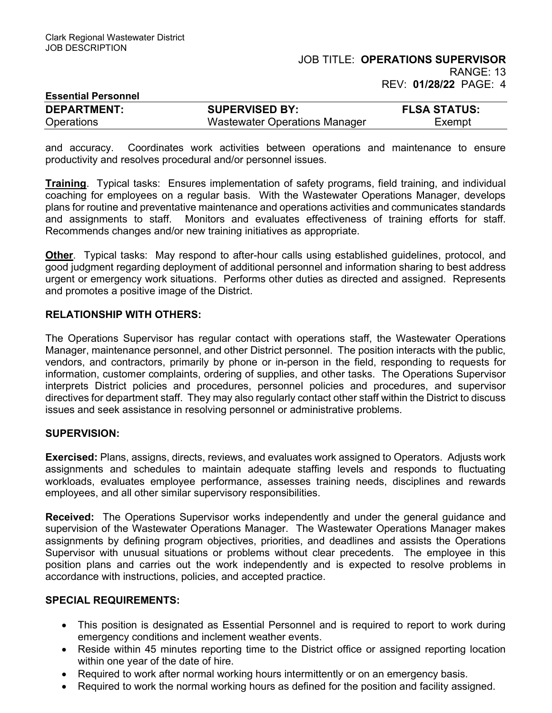| <b>Essential Personnel</b> |                               |                     |
|----------------------------|-------------------------------|---------------------|
| <b>DEPARTMENT:</b>         | <b>SUPERVISED BY:</b>         | <b>FLSA STATUS:</b> |
| <b>Operations</b>          | Wastewater Operations Manager | Exempt              |

and accuracy. Coordinates work activities between operations and maintenance to ensure productivity and resolves procedural and/or personnel issues.

Training. Typical tasks: Ensures implementation of safety programs, field training, and individual coaching for employees on a regular basis. With the Wastewater Operations Manager, develops plans for routine and preventative maintenance and operations activities and communicates standards and assignments to staff. Monitors and evaluates effectiveness of training efforts for staff. Recommends changes and/or new training initiatives as appropriate.

Other. Typical tasks: May respond to after-hour calls using established guidelines, protocol, and good judgment regarding deployment of additional personnel and information sharing to best address urgent or emergency work situations. Performs other duties as directed and assigned. Represents and promotes a positive image of the District.

## RELATIONSHIP WITH OTHERS:

The Operations Supervisor has regular contact with operations staff, the Wastewater Operations Manager, maintenance personnel, and other District personnel. The position interacts with the public, vendors, and contractors, primarily by phone or in-person in the field, responding to requests for information, customer complaints, ordering of supplies, and other tasks. The Operations Supervisor interprets District policies and procedures, personnel policies and procedures, and supervisor directives for department staff. They may also regularly contact other staff within the District to discuss issues and seek assistance in resolving personnel or administrative problems.

## SUPERVISION:

Exercised: Plans, assigns, directs, reviews, and evaluates work assigned to Operators. Adjusts work assignments and schedules to maintain adequate staffing levels and responds to fluctuating workloads, evaluates employee performance, assesses training needs, disciplines and rewards employees, and all other similar supervisory responsibilities.

Received: The Operations Supervisor works independently and under the general guidance and supervision of the Wastewater Operations Manager. The Wastewater Operations Manager makes assignments by defining program objectives, priorities, and deadlines and assists the Operations Supervisor with unusual situations or problems without clear precedents. The employee in this position plans and carries out the work independently and is expected to resolve problems in accordance with instructions, policies, and accepted practice.

## SPECIAL REQUIREMENTS:

- This position is designated as Essential Personnel and is required to report to work during emergency conditions and inclement weather events.
- Reside within 45 minutes reporting time to the District office or assigned reporting location within one year of the date of hire.
- Required to work after normal working hours intermittently or on an emergency basis.
- Required to work the normal working hours as defined for the position and facility assigned.